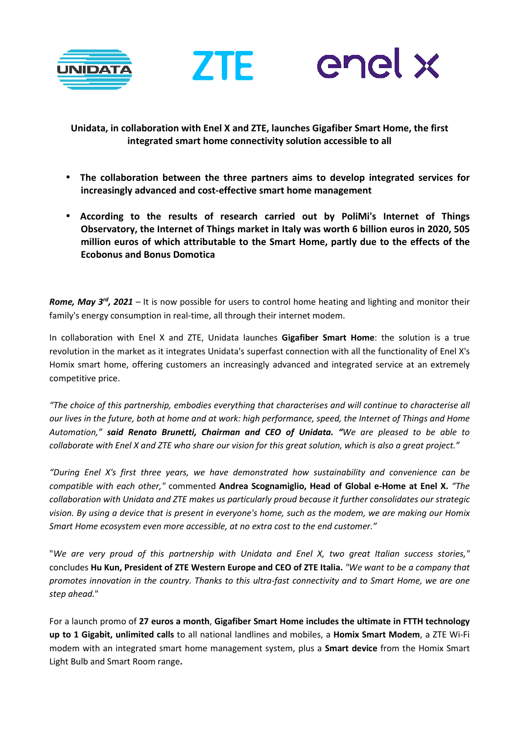





**Unidata, in collaboration with Enel X and ZTE, launches Gigafiber Smart Home, the first integrated smart home connectivity solution accessible to all** 

- **The collaboration between the three partners aims to develop integrated services for increasingly advanced and cost-effective smart home management**
- **According to the results of research carried out by PoliMi's Internet of Things Observatory, the Internet of Things market in Italy was worth 6 billion euros in 2020, 505 million euros of which attributable to the Smart Home, partly due to the effects of the Ecobonus and Bonus Domotica**

*Rome, May 3rd, 2021* – It is now possible for users to control home heating and lighting and monitor their family's energy consumption in real-time, all through their internet modem.

In collaboration with Enel X and ZTE, Unidata launches **Gigafiber Smart Home**: the solution is a true revolution in the market as it integrates Unidata's superfast connection with all the functionality of Enel X's Homix smart home, offering customers an increasingly advanced and integrated service at an extremely competitive price.

*"The choice of this partnership, embodies everything that characterises and will continue to characterise all our lives in the future, both at home and at work: high performance, speed, the Internet of Things and Home Automation," said Renato Brunetti, Chairman and CEO of Unidata. "We are pleased to be able to collaborate with Enel X and ZTE who share our vision for this great solution, which is also a great project."*

*"During Enel X's first three years, we have demonstrated how sustainability and convenience can be compatible with each other,"* commented **Andrea Scognamiglio, Head of Global e-Home at Enel X.** *"The collaboration with Unidata and ZTE makes us particularly proud because it further consolidates our strategic vision. By using a device that is present in everyone's home, such as the modem, we are making our Homix Smart Home ecosystem even more accessible, at no extra cost to the end customer."* 

"*We are very proud of this partnership with Unidata and Enel X, two great Italian success stories,"*  concludes **Hu Kun, President of ZTE Western Europe and CEO of ZTE Italia.** *"We want to be a company that promotes innovation in the country. Thanks to this ultra-fast connectivity and to Smart Home, we are one step ahead.*"

For a launch promo of **27 euros a month**, **Gigafiber Smart Home includes the ultimate in FTTH technology up to 1 Gigabit, unlimited calls** to all national landlines and mobiles, a **Homix Smart Modem**, a ZTE Wi-Fi modem with an integrated smart home management system, plus a **Smart device** from the Homix Smart Light Bulb and Smart Room range**.**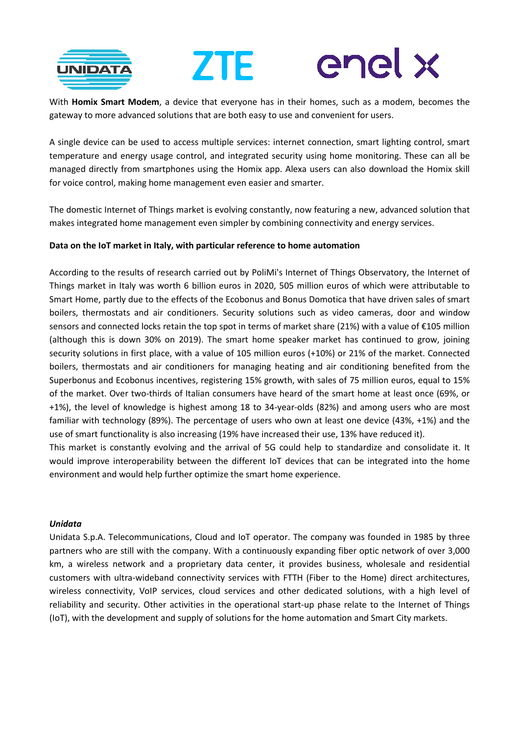

# enel x ZTE

With **Homix Smart Modem**, a device that everyone has in their homes, such as a modem, becomes the gateway to more advanced solutions that are both easy to use and convenient for users.

A single device can be used to access multiple services: internet connection, smart lighting control, smart temperature and energy usage control, and integrated security using home monitoring. These can all be managed directly from smartphones using the Homix app. Alexa users can also download the Homix skill for voice control, making home management even easier and smarter.

The domestic Internet of Things market is evolving constantly, now featuring a new, advanced solution that makes integrated home management even simpler by combining connectivity and energy services.

## **Data on the IoT market in Italy, with particular reference to home automation**

According to the results of research carried out by PoliMi's Internet of Things Observatory, the Internet of Things market in Italy was worth 6 billion euros in 2020, 505 million euros of which were attributable to Smart Home, partly due to the effects of the Ecobonus and Bonus Domotica that have driven sales of smart boilers, thermostats and air conditioners. Security solutions such as video cameras, door and window sensors and connected locks retain the top spot in terms of market share (21%) with a value of €105 million (although this is down 30% on 2019). The smart home speaker market has continued to grow, joining security solutions in first place, with a value of 105 million euros (+10%) or 21% of the market. Connected boilers, thermostats and air conditioners for managing heating and air conditioning benefited from the Superbonus and Ecobonus incentives, registering 15% growth, with sales of 75 million euros, equal to 15% of the market. Over two-thirds of Italian consumers have heard of the smart home at least once (69%, or +1%), the level of knowledge is highest among 18 to 34-year-olds (82%) and among users who are most familiar with technology (89%). The percentage of users who own at least one device (43%, +1%) and the use of smart functionality is also increasing (19% have increased their use, 13% have reduced it).

This market is constantly evolving and the arrival of 5G could help to standardize and consolidate it. It would improve interoperability between the different IoT devices that can be integrated into the home environment and would help further optimize the smart home experience.

### *Unidata*

Unidata S.p.A. Telecommunications, Cloud and IoT operator. The company was founded in 1985 by three partners who are still with the company. With a continuously expanding fiber optic network of over 3,000 km, a wireless network and a proprietary data center, it provides business, wholesale and residential customers with ultra-wideband connectivity services with FTTH (Fiber to the Home) direct architectures, wireless connectivity, VoIP services, cloud services and other dedicated solutions, with a high level of reliability and security. Other activities in the operational start-up phase relate to the Internet of Things (IoT), with the development and supply of solutions for the home automation and Smart City markets.